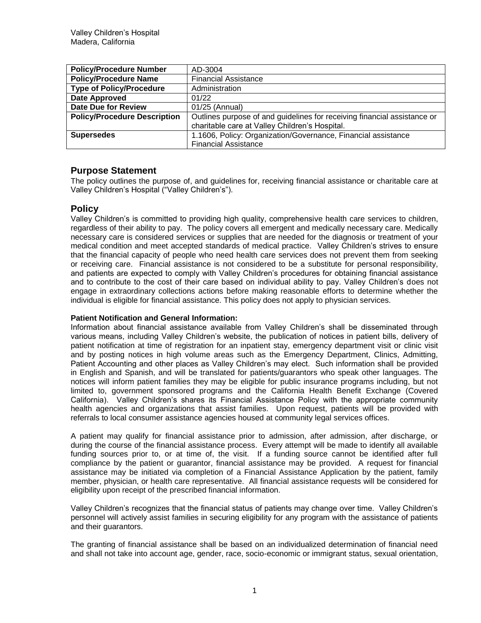| <b>Policy/Procedure Number</b>      | AD-3004                                                                  |
|-------------------------------------|--------------------------------------------------------------------------|
| <b>Policy/Procedure Name</b>        | <b>Financial Assistance</b>                                              |
| <b>Type of Policy/Procedure</b>     | Administration                                                           |
| Date Approved                       | 01/22                                                                    |
| <b>Date Due for Review</b>          | 01/25 (Annual)                                                           |
| <b>Policy/Procedure Description</b> | Outlines purpose of and guidelines for receiving financial assistance or |
|                                     | charitable care at Valley Children's Hospital.                           |
| <b>Supersedes</b>                   | 1.1606, Policy: Organization/Governance, Financial assistance            |
|                                     | <b>Financial Assistance</b>                                              |

# **Purpose Statement**

The policy outlines the purpose of, and guidelines for, receiving financial assistance or charitable care at Valley Children's Hospital ("Valley Children's").

# **Policy**

Valley Children's is committed to providing high quality, comprehensive health care services to children, regardless of their ability to pay. The policy covers all emergent and medically necessary care. Medically necessary care is considered services or supplies that are needed for the diagnosis or treatment of your medical condition and meet accepted standards of medical practice. Valley Children's strives to ensure that the financial capacity of people who need health care services does not prevent them from seeking or receiving care. Financial assistance is not considered to be a substitute for personal responsibility, and patients are expected to comply with Valley Children's procedures for obtaining financial assistance and to contribute to the cost of their care based on individual ability to pay. Valley Children's does not engage in extraordinary collections actions before making reasonable efforts to determine whether the individual is eligible for financial assistance. This policy does not apply to physician services.

## **Patient Notification and General Information:**

Information about financial assistance available from Valley Children's shall be disseminated through various means, including Valley Children's website, the publication of notices in patient bills, delivery of patient notification at time of registration for an inpatient stay, emergency department visit or clinic visit and by posting notices in high volume areas such as the Emergency Department, Clinics, Admitting, Patient Accounting and other places as Valley Children's may elect. Such information shall be provided in English and Spanish, and will be translated for patients/guarantors who speak other languages. The notices will inform patient families they may be eligible for public insurance programs including, but not limited to, government sponsored programs and the California Health Benefit Exchange (Covered California). Valley Children's shares its Financial Assistance Policy with the appropriate community health agencies and organizations that assist families. Upon request, patients will be provided with referrals to local consumer assistance agencies housed at community legal services offices.

A patient may qualify for financial assistance prior to admission, after admission, after discharge, or during the course of the financial assistance process. Every attempt will be made to identify all available funding sources prior to, or at time of, the visit. If a funding source cannot be identified after full compliance by the patient or guarantor, financial assistance may be provided. A request for financial assistance may be initiated via completion of a Financial Assistance Application by the patient, family member, physician, or health care representative. All financial assistance requests will be considered for eligibility upon receipt of the prescribed financial information.

Valley Children's recognizes that the financial status of patients may change over time. Valley Children's personnel will actively assist families in securing eligibility for any program with the assistance of patients and their guarantors.

The granting of financial assistance shall be based on an individualized determination of financial need and shall not take into account age, gender, race, socio-economic or immigrant status, sexual orientation,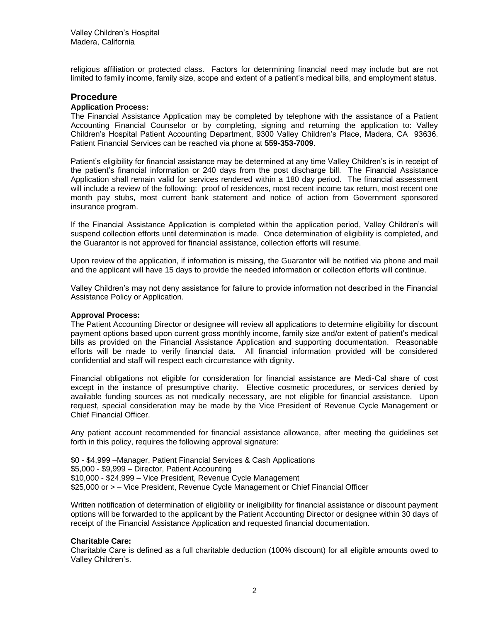religious affiliation or protected class. Factors for determining financial need may include but are not limited to family income, family size, scope and extent of a patient's medical bills, and employment status.

## **Procedure**

#### **Application Process:**

The Financial Assistance Application may be completed by telephone with the assistance of a Patient Accounting Financial Counselor or by completing, signing and returning the application to: Valley Children's Hospital Patient Accounting Department, 9300 Valley Children's Place, Madera, CA 93636. Patient Financial Services can be reached via phone at **559-353-7009**.

Patient's eligibility for financial assistance may be determined at any time Valley Children's is in receipt of the patient's financial information or 240 days from the post discharge bill. The Financial Assistance Application shall remain valid for services rendered within a 180 day period. The financial assessment will include a review of the following: proof of residences, most recent income tax return, most recent one month pay stubs, most current bank statement and notice of action from Government sponsored insurance program.

If the Financial Assistance Application is completed within the application period, Valley Children's will suspend collection efforts until determination is made. Once determination of eligibility is completed, and the Guarantor is not approved for financial assistance, collection efforts will resume.

Upon review of the application, if information is missing, the Guarantor will be notified via phone and mail and the applicant will have 15 days to provide the needed information or collection efforts will continue.

Valley Children's may not deny assistance for failure to provide information not described in the Financial Assistance Policy or Application.

#### **Approval Process:**

The Patient Accounting Director or designee will review all applications to determine eligibility for discount payment options based upon current gross monthly income, family size and/or extent of patient's medical bills as provided on the Financial Assistance Application and supporting documentation. Reasonable efforts will be made to verify financial data. All financial information provided will be considered confidential and staff will respect each circumstance with dignity.

Financial obligations not eligible for consideration for financial assistance are Medi-Cal share of cost except in the instance of presumptive charity. Elective cosmetic procedures, or services denied by available funding sources as not medically necessary, are not eligible for financial assistance. Upon request, special consideration may be made by the Vice President of Revenue Cycle Management or Chief Financial Officer.

Any patient account recommended for financial assistance allowance, after meeting the guidelines set forth in this policy, requires the following approval signature:

\$0 - \$4,999 –Manager, Patient Financial Services & Cash Applications \$5,000 - \$9,999 – Director, Patient Accounting \$10,000 - \$24,999 – Vice President, Revenue Cycle Management \$25,000 or > – Vice President, Revenue Cycle Management or Chief Financial Officer

Written notification of determination of eligibility or ineligibility for financial assistance or discount payment options will be forwarded to the applicant by the Patient Accounting Director or designee within 30 days of receipt of the Financial Assistance Application and requested financial documentation.

## **Charitable Care:**

Charitable Care is defined as a full charitable deduction (100% discount) for all eligible amounts owed to Valley Children's.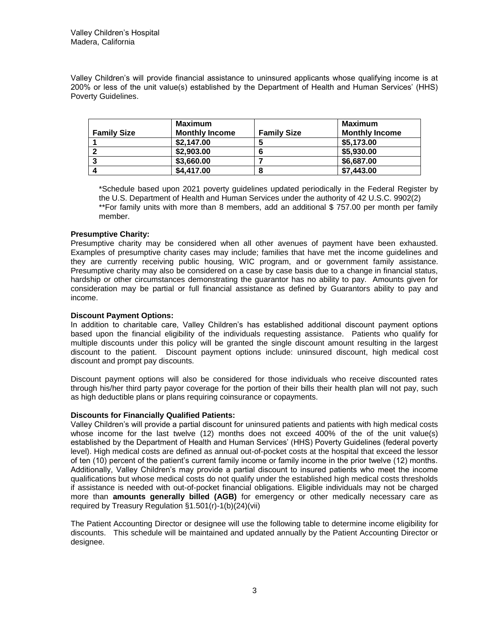Valley Children's will provide financial assistance to uninsured applicants whose qualifying income is at 200% or less of the unit value(s) established by the Department of Health and Human Services' (HHS) Poverty Guidelines.

| <b>Family Size</b> | Maximum<br><b>Monthly Income</b> | <b>Family Size</b> | Maximum<br><b>Monthly Income</b> |
|--------------------|----------------------------------|--------------------|----------------------------------|
|                    | \$2,147.00                       | э                  | \$5,173.00                       |
|                    | \$2,903.00                       | o                  | \$5,930.00                       |
|                    | \$3,660.00                       |                    | \$6,687.00                       |
|                    | \$4,417.00                       | 8                  | \$7,443.00                       |

\*Schedule based upon 2021 poverty guidelines updated periodically in the Federal Register by the U.S. Department of Health and Human Services under the authority of 42 U.S.C. 9902(2) \*\*For family units with more than 8 members, add an additional \$757.00 per month per family member.

### **Presumptive Charity:**

Presumptive charity may be considered when all other avenues of payment have been exhausted. Examples of presumptive charity cases may include; families that have met the income guidelines and they are currently receiving public housing, WIC program, and or government family assistance. Presumptive charity may also be considered on a case by case basis due to a change in financial status, hardship or other circumstances demonstrating the guarantor has no ability to pay. Amounts given for consideration may be partial or full financial assistance as defined by Guarantors ability to pay and income.

### **Discount Payment Options:**

In addition to charitable care, Valley Children's has established additional discount payment options based upon the financial eligibility of the individuals requesting assistance. Patients who qualify for multiple discounts under this policy will be granted the single discount amount resulting in the largest discount to the patient. Discount payment options include: uninsured discount, high medical cost discount and prompt pay discounts.

Discount payment options will also be considered for those individuals who receive discounted rates through his/her third party payor coverage for the portion of their bills their health plan will not pay, such as high deductible plans or plans requiring coinsurance or copayments.

#### **Discounts for Financially Qualified Patients:**

Valley Children's will provide a partial discount for uninsured patients and patients with high medical costs whose income for the last twelve (12) months does not exceed 400% of the of the unit value(s) established by the Department of Health and Human Services' (HHS) Poverty Guidelines (federal poverty level). High medical costs are defined as annual out-of-pocket costs at the hospital that exceed the lessor of ten (10) percent of the patient's current family income or family income in the prior twelve (12) months. Additionally, Valley Children's may provide a partial discount to insured patients who meet the income qualifications but whose medical costs do not qualify under the established high medical costs thresholds if assistance is needed with out-of-pocket financial obligations. Eligible individuals may not be charged more than **amounts generally billed (AGB)** for emergency or other medically necessary care as required by Treasury Regulation §1.501(r)-1(b)(24)(vii)

The Patient Accounting Director or designee will use the following table to determine income eligibility for discounts. This schedule will be maintained and updated annually by the Patient Accounting Director or designee.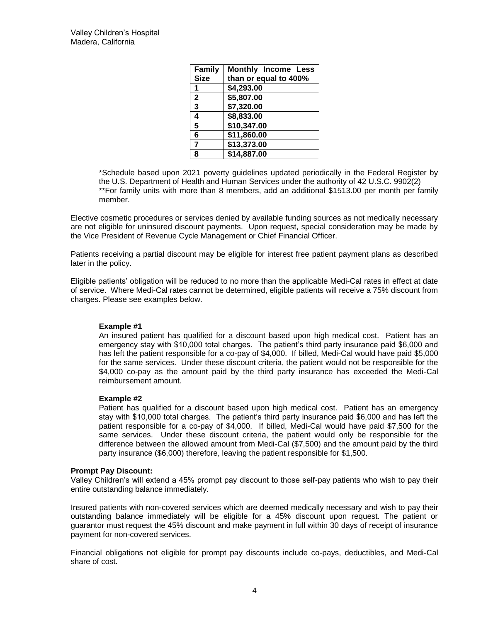| <b>Family</b><br><b>Size</b> | <b>Monthly Income Less</b><br>than or equal to 400% |
|------------------------------|-----------------------------------------------------|
|                              |                                                     |
| 1                            | \$4,293.00                                          |
| $\mathbf{2}$                 | \$5,807.00                                          |
| 3                            | \$7,320.00                                          |
| 4                            | \$8,833.00                                          |
| 5                            | \$10,347.00                                         |
| 6                            | \$11,860.00                                         |
| 7                            | \$13,373.00                                         |
| 8                            | \$14,887.00                                         |

\*Schedule based upon 2021 poverty guidelines updated periodically in the Federal Register by the U.S. Department of Health and Human Services under the authority of 42 U.S.C. 9902(2) \*\*For family units with more than 8 members, add an additional \$1513.00 per month per family member.

Elective cosmetic procedures or services denied by available funding sources as not medically necessary are not eligible for uninsured discount payments. Upon request, special consideration may be made by the Vice President of Revenue Cycle Management or Chief Financial Officer.

Patients receiving a partial discount may be eligible for interest free patient payment plans as described later in the policy.

Eligible patients' obligation will be reduced to no more than the applicable Medi-Cal rates in effect at date of service. Where Medi-Cal rates cannot be determined, eligible patients will receive a 75% discount from charges. Please see examples below.

#### **Example #1**

An insured patient has qualified for a discount based upon high medical cost. Patient has an emergency stay with \$10,000 total charges. The patient's third party insurance paid \$6,000 and has left the patient responsible for a co-pay of \$4,000. If billed, Medi-Cal would have paid \$5,000 for the same services. Under these discount criteria, the patient would not be responsible for the \$4,000 co-pay as the amount paid by the third party insurance has exceeded the Medi-Cal reimbursement amount.

#### **Example #2**

Patient has qualified for a discount based upon high medical cost. Patient has an emergency stay with \$10,000 total charges. The patient's third party insurance paid \$6,000 and has left the patient responsible for a co-pay of \$4,000. If billed, Medi-Cal would have paid \$7,500 for the same services. Under these discount criteria, the patient would only be responsible for the difference between the allowed amount from Medi-Cal (\$7,500) and the amount paid by the third party insurance (\$6,000) therefore, leaving the patient responsible for \$1,500.

#### **Prompt Pay Discount:**

Valley Children's will extend a 45% prompt pay discount to those self-pay patients who wish to pay their entire outstanding balance immediately.

Insured patients with non-covered services which are deemed medically necessary and wish to pay their outstanding balance immediately will be eligible for a 45% discount upon request. The patient or guarantor must request the 45% discount and make payment in full within 30 days of receipt of insurance payment for non-covered services.

Financial obligations not eligible for prompt pay discounts include co-pays, deductibles, and Medi-Cal share of cost.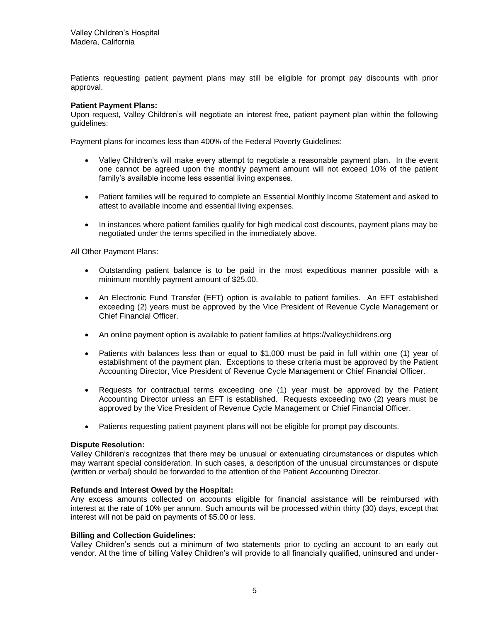Patients requesting patient payment plans may still be eligible for prompt pay discounts with prior approval.

### **Patient Payment Plans:**

Upon request, Valley Children's will negotiate an interest free, patient payment plan within the following guidelines:

Payment plans for incomes less than 400% of the Federal Poverty Guidelines:

- Valley Children's will make every attempt to negotiate a reasonable payment plan. In the event one cannot be agreed upon the monthly payment amount will not exceed 10% of the patient family's available income less essential living expenses.
- Patient families will be required to complete an Essential Monthly Income Statement and asked to attest to available income and essential living expenses.
- In instances where patient families qualify for high medical cost discounts, payment plans may be negotiated under the terms specified in the immediately above.

All Other Payment Plans:

- Outstanding patient balance is to be paid in the most expeditious manner possible with a minimum monthly payment amount of \$25.00.
- An Electronic Fund Transfer (EFT) option is available to patient families. An EFT established exceeding (2) years must be approved by the Vice President of Revenue Cycle Management or Chief Financial Officer.
- An online payment option is available to patient families at https://valleychildrens.org
- Patients with balances less than or equal to \$1,000 must be paid in full within one (1) year of establishment of the payment plan. Exceptions to these criteria must be approved by the Patient Accounting Director, Vice President of Revenue Cycle Management or Chief Financial Officer.
- Requests for contractual terms exceeding one (1) year must be approved by the Patient Accounting Director unless an EFT is established. Requests exceeding two (2) years must be approved by the Vice President of Revenue Cycle Management or Chief Financial Officer.
- Patients requesting patient payment plans will not be eligible for prompt pay discounts.

#### **Dispute Resolution:**

Valley Children's recognizes that there may be unusual or extenuating circumstances or disputes which may warrant special consideration. In such cases, a description of the unusual circumstances or dispute (written or verbal) should be forwarded to the attention of the Patient Accounting Director.

#### **Refunds and Interest Owed by the Hospital:**

Any excess amounts collected on accounts eligible for financial assistance will be reimbursed with interest at the rate of 10% per annum. Such amounts will be processed within thirty (30) days, except that interest will not be paid on payments of \$5.00 or less.

#### **Billing and Collection Guidelines:**

Valley Children's sends out a minimum of two statements prior to cycling an account to an early out vendor. At the time of billing Valley Children's will provide to all financially qualified, uninsured and under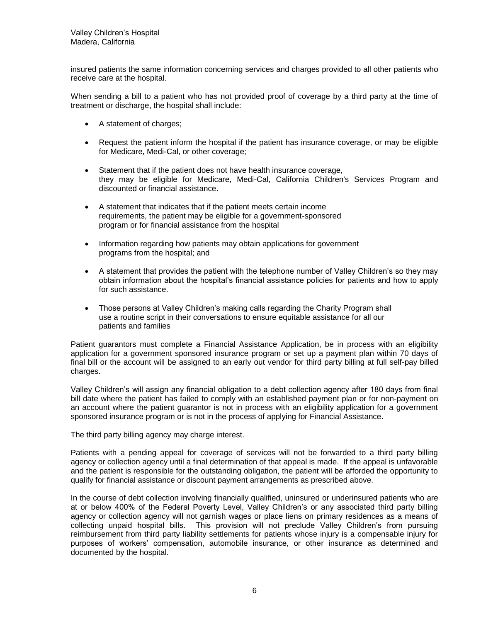insured patients the same information concerning services and charges provided to all other patients who receive care at the hospital.

When sending a bill to a patient who has not provided proof of coverage by a third party at the time of treatment or discharge, the hospital shall include:

- A statement of charges;
- Request the patient inform the hospital if the patient has insurance coverage, or may be eligible for Medicare, Medi-Cal, or other coverage;
- Statement that if the patient does not have health insurance coverage, they may be eligible for Medicare, Medi-Cal, California Children's Services Program and discounted or financial assistance.
- A statement that indicates that if the patient meets certain income requirements, the patient may be eligible for a government-sponsored program or for financial assistance from the hospital
- Information regarding how patients may obtain applications for government programs from the hospital; and
- A statement that provides the patient with the telephone number of Valley Children's so they may obtain information about the hospital's financial assistance policies for patients and how to apply for such assistance.
- Those persons at Valley Children's making calls regarding the Charity Program shall use a routine script in their conversations to ensure equitable assistance for all our patients and families

Patient guarantors must complete a Financial Assistance Application, be in process with an eligibility application for a government sponsored insurance program or set up a payment plan within 70 days of final bill or the account will be assigned to an early out vendor for third party billing at full self-pay billed charges.

Valley Children's will assign any financial obligation to a debt collection agency after 180 days from final bill date where the patient has failed to comply with an established payment plan or for non-payment on an account where the patient guarantor is not in process with an eligibility application for a government sponsored insurance program or is not in the process of applying for Financial Assistance.

The third party billing agency may charge interest.

Patients with a pending appeal for coverage of services will not be forwarded to a third party billing agency or collection agency until a final determination of that appeal is made. If the appeal is unfavorable and the patient is responsible for the outstanding obligation, the patient will be afforded the opportunity to qualify for financial assistance or discount payment arrangements as prescribed above.

In the course of debt collection involving financially qualified, uninsured or underinsured patients who are at or below 400% of the Federal Poverty Level, Valley Children's or any associated third party billing agency or collection agency will not garnish wages or place liens on primary residences as a means of collecting unpaid hospital bills. This provision will not preclude Valley Children's from pursuing reimbursement from third party liability settlements for patients whose injury is a compensable injury for purposes of workers' compensation, automobile insurance, or other insurance as determined and documented by the hospital.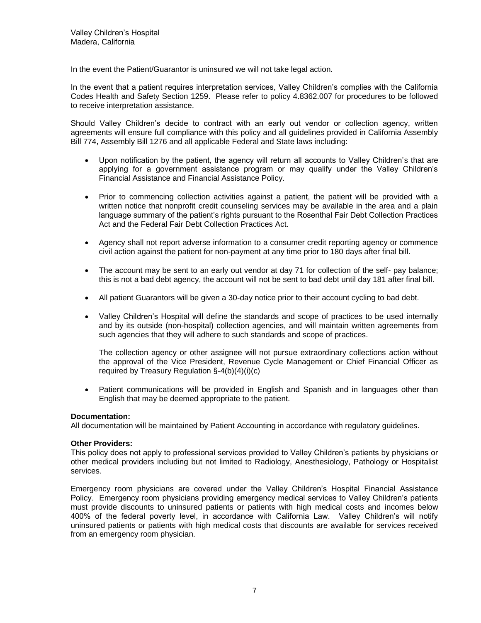In the event the Patient/Guarantor is uninsured we will not take legal action.

In the event that a patient requires interpretation services, Valley Children's complies with the California Codes Health and Safety Section 1259. Please refer to policy 4.8362.007 for procedures to be followed to receive interpretation assistance.

Should Valley Children's decide to contract with an early out vendor or collection agency, written agreements will ensure full compliance with this policy and all guidelines provided in California Assembly Bill 774, Assembly Bill 1276 and all applicable Federal and State laws including:

- Upon notification by the patient, the agency will return all accounts to Valley Children's that are applying for a government assistance program or may qualify under the Valley Children's Financial Assistance and Financial Assistance Policy.
- Prior to commencing collection activities against a patient, the patient will be provided with a written notice that nonprofit credit counseling services may be available in the area and a plain language summary of the patient's rights pursuant to the Rosenthal Fair Debt Collection Practices Act and the Federal Fair Debt Collection Practices Act.
- Agency shall not report adverse information to a consumer credit reporting agency or commence civil action against the patient for non-payment at any time prior to 180 days after final bill.
- The account may be sent to an early out vendor at day 71 for collection of the self- pay balance; this is not a bad debt agency, the account will not be sent to bad debt until day 181 after final bill.
- All patient Guarantors will be given a 30-day notice prior to their account cycling to bad debt.
- Valley Children's Hospital will define the standards and scope of practices to be used internally and by its outside (non-hospital) collection agencies, and will maintain written agreements from such agencies that they will adhere to such standards and scope of practices.

The collection agency or other assignee will not pursue extraordinary collections action without the approval of the Vice President, Revenue Cycle Management or Chief Financial Officer as required by Treasury Regulation §-4(b)(4)(i)(c)

 Patient communications will be provided in English and Spanish and in languages other than English that may be deemed appropriate to the patient.

#### **Documentation:**

All documentation will be maintained by Patient Accounting in accordance with regulatory guidelines.

#### **Other Providers:**

This policy does not apply to professional services provided to Valley Children's patients by physicians or other medical providers including but not limited to Radiology, Anesthesiology, Pathology or Hospitalist services.

Emergency room physicians are covered under the Valley Children's Hospital Financial Assistance Policy. Emergency room physicians providing emergency medical services to Valley Children's patients must provide discounts to uninsured patients or patients with high medical costs and incomes below 400% of the federal poverty level, in accordance with California Law. Valley Children's will notify uninsured patients or patients with high medical costs that discounts are available for services received from an emergency room physician.